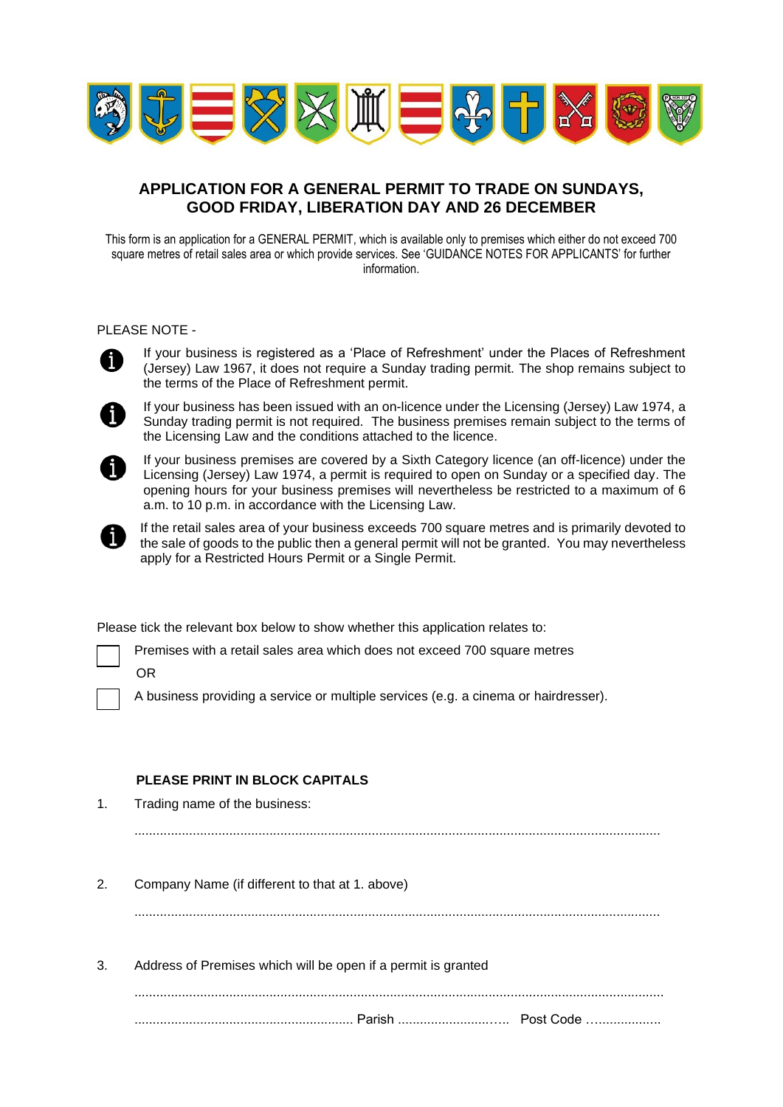

# **APPLICATION FOR A GENERAL PERMIT TO TRADE ON SUNDAYS, GOOD FRIDAY, LIBERATION DAY AND 26 DECEMBER**

This form is an application for a GENERAL PERMIT, which is available only to premises which either do not exceed 700 square metres of retail sales area or which provide services. See 'GUIDANCE NOTES FOR APPLICANTS' for further information.

#### PLEASE NOTE -



If your business is registered as a 'Place of Refreshment' under the Places of Refreshment (Jersey) Law 1967, it does not require a Sunday trading permit. The shop remains subject to the terms of the Place of Refreshment permit.



If your business has been issued with an on-licence under the Licensing (Jersey) Law 1974, a Sunday trading permit is not required. The business premises remain subject to the terms of the Licensing Law and the conditions attached to the licence.



If your business premises are covered by a Sixth Category licence (an off-licence) under the Licensing (Jersey) Law 1974, a permit is required to open on Sunday or a specified day. The opening hours for your business premises will nevertheless be restricted to a maximum of 6 a.m. to 10 p.m. in accordance with the Licensing Law.



If the retail sales area of your business exceeds 700 square metres and is primarily devoted to the sale of goods to the public then a general permit will not be granted. You may nevertheless apply for a Restricted Hours Permit or a Single Permit.

Please tick the relevant box below to show whether this application relates to:

Premises with a retail sales area which does not exceed 700 square metres

OR

A business providing a service or multiple services (e.g. a cinema or hairdresser).

## **PLEASE PRINT IN BLOCK CAPITALS**

1. Trading name of the business:

................................................................................................................................................

2. Company Name (if different to that at 1. above)

................................................................................................................................................

3. Address of Premises which will be open if a permit is granted

................................................................................................................................................. ............................................................ Parish .........................….. Post Code ….................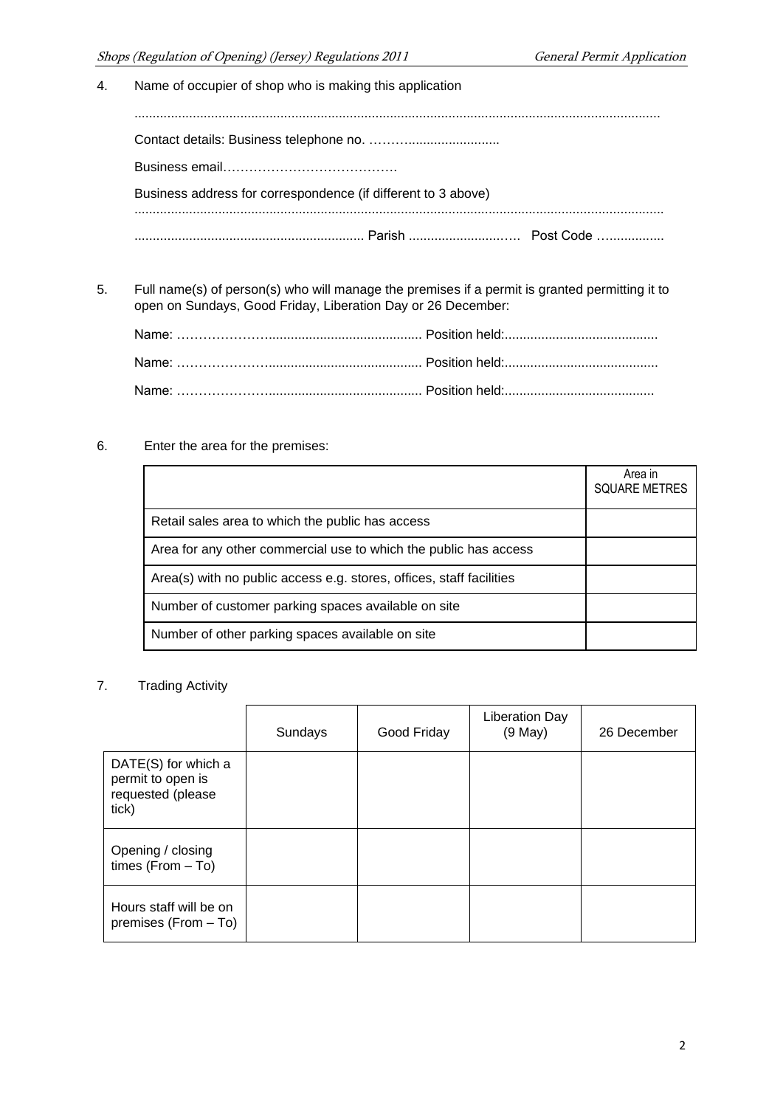4. Name of occupier of shop who is making this application

................................................................................................................................................ Contact details: Business telephone no. ………......................... Business email…………………………………. Business address for correspondence (if different to 3 above) ................................................................................................................................................. ............................................................... Parish .........................….. Post Code …...............

5. Full name(s) of person(s) who will manage the premises if a permit is granted permitting it to open on Sundays, Good Friday, Liberation Day or 26 December:

### 6. Enter the area for the premises:

|                                                                      | Area in<br><b>SQUARE METRES</b> |
|----------------------------------------------------------------------|---------------------------------|
| Retail sales area to which the public has access                     |                                 |
| Area for any other commercial use to which the public has access     |                                 |
| Area(s) with no public access e.g. stores, offices, staff facilities |                                 |
| Number of customer parking spaces available on site                  |                                 |
| Number of other parking spaces available on site                     |                                 |

## 7. Trading Activity

|                                                                        | Sundays | Good Friday | <b>Liberation Day</b><br>$(9$ May $)$ | 26 December |
|------------------------------------------------------------------------|---------|-------------|---------------------------------------|-------------|
| DATE(S) for which a<br>permit to open is<br>requested (please<br>tick) |         |             |                                       |             |
| Opening / closing<br>times $(From - To)$                               |         |             |                                       |             |
| Hours staff will be on<br>premises (From - To)                         |         |             |                                       |             |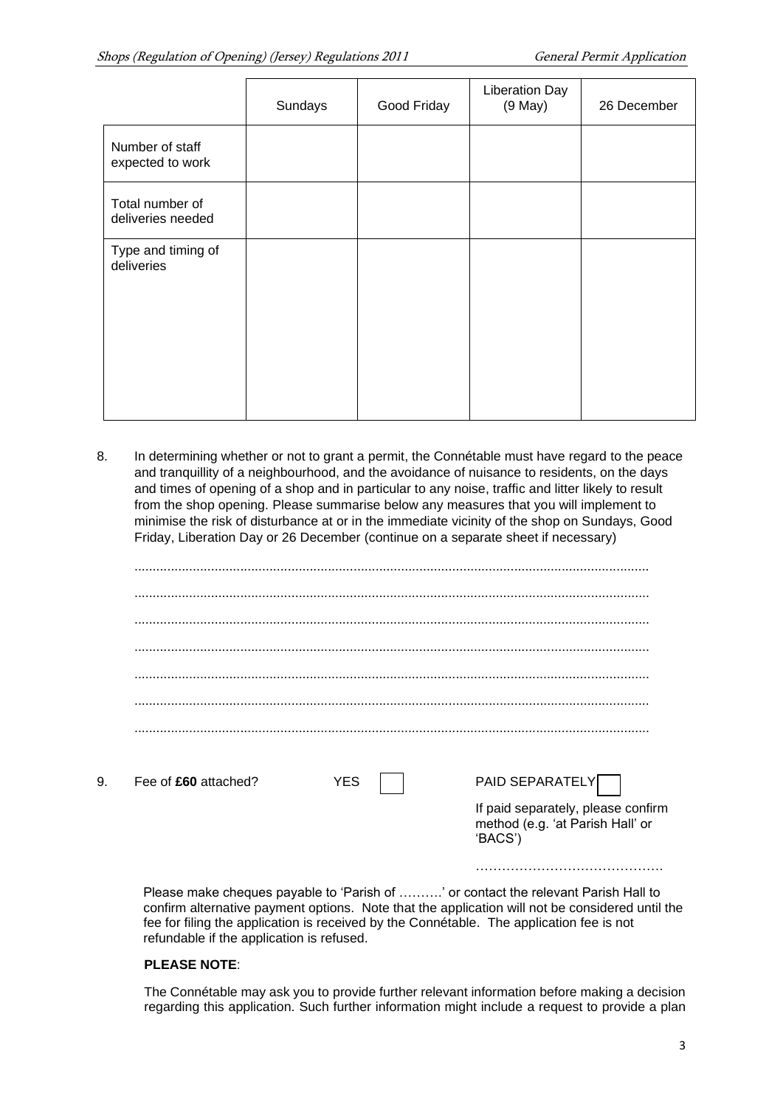|                                      | Sundays | Good Friday | <b>Liberation Day</b><br>$(9$ May $)$ | 26 December |
|--------------------------------------|---------|-------------|---------------------------------------|-------------|
| Number of staff<br>expected to work  |         |             |                                       |             |
| Total number of<br>deliveries needed |         |             |                                       |             |
| Type and timing of<br>deliveries     |         |             |                                       |             |

8. In determining whether or not to grant a permit, the Connétable must have regard to the peace and tranquillity of a neighbourhood, and the avoidance of nuisance to residents, on the days and times of opening of a shop and in particular to any noise, traffic and litter likely to result from the shop opening. Please summarise below any measures that you will implement to minimise the risk of disturbance at or in the immediate vicinity of the shop on Sundays, Good Friday, Liberation Day or 26 December (continue on a separate sheet if necessary)

| 9. | Fee of £60 attached? | YES | PAID SEPARATELY                                                                   |
|----|----------------------|-----|-----------------------------------------------------------------------------------|
|    |                      |     | If paid separately, please confirm<br>method (e.g. 'at Parish Hall' or<br>'BACS') |
|    |                      |     | .                                                                                 |

Please make cheques payable to 'Parish of ……….' or contact the relevant Parish Hall to confirm alternative payment options. Note that the application will not be considered until the fee for filing the application is received by the Connétable. The application fee is not refundable if the application is refused.

### **PLEASE NOTE**:

The Connétable may ask you to provide further relevant information before making a decision regarding this application. Such further information might include a request to provide a plan